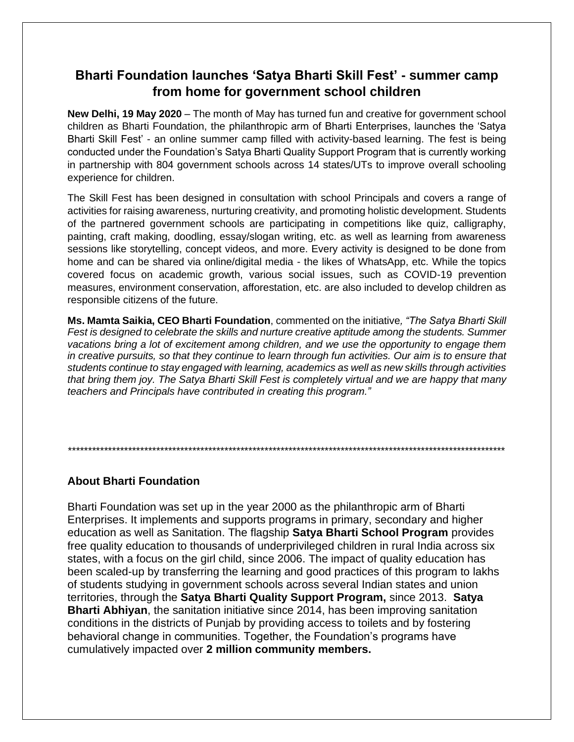## Bharti Foundation launches 'Satya Bharti Skill Fest' - summer camp from home for government school children

New Delhi, 19 May 2020 – The month of May has turned fun and creative for government school children as Bharti Foundation, the philanthropic arm of Bharti Enterprises, launches the 'Satya Bharti Skill Fest' - an online summer camp filled with activity-based learning. The fest is being conducted under the Foundation's Satya Bharti Quality Support Program that is currently working in partnership with 804 government schools across 14 states/UTs to improve overall schooling experience for children.

The Skill Fest has been designed in consultation with school Principals and covers a range of activities for raising awareness, nurturing creativity, and promoting holistic development. Students of the partnered government schools are participating in competitions like quiz, calligraphy, painting, craft making, doodling, essay/slogan writing, etc. as well as learning from awareness sessions like storytelling, concept videos, and more. Every activity is designed to be done from home and can be shared via online/digital media - the likes of WhatsApp, etc. While the topics covered focus on academic growth, various social issues, such as COVID-19 prevention measures, environment conservation, afforestation, etc. are also included to develop children as responsible citizens of the future.

Ms. Mamta Saikia, CEO Bharti Foundation, commented on the initiative, "The Satya Bharti Skill Fest is designed to celebrate the skills and nurture creative aptitude among the students. Summer vacations bring a lot of excitement among children, and we use the opportunity to engage them in creative pursuits, so that they continue to learn through fun activities. Our aim is to ensure that students continue to stay engaged with learning, academics as well as new skills through activities that bring them joy. The Satya Bharti Skill Fest is completely virtual and we are happy that many teachers and Principals have contributed in creating this program."

## **About Bharti Foundation**

Bharti Foundation was set up in the year 2000 as the philanthropic arm of Bharti Enterprises. It implements and supports programs in primary, secondary and higher education as well as Sanitation. The flagship Satya Bharti School Program provides free quality education to thousands of underprivileged children in rural India across six states, with a focus on the girl child, since 2006. The impact of quality education has been scaled-up by transferring the learning and good practices of this program to lakhs of students studying in government schools across several Indian states and union territories, through the Satya Bharti Quality Support Program, since 2013. Satya **Bharti Abhiyan, the sanitation initiative since 2014, has been improving sanitation** conditions in the districts of Punjab by providing access to toilets and by fostering behavioral change in communities. Together, the Foundation's programs have cumulatively impacted over 2 million community members.